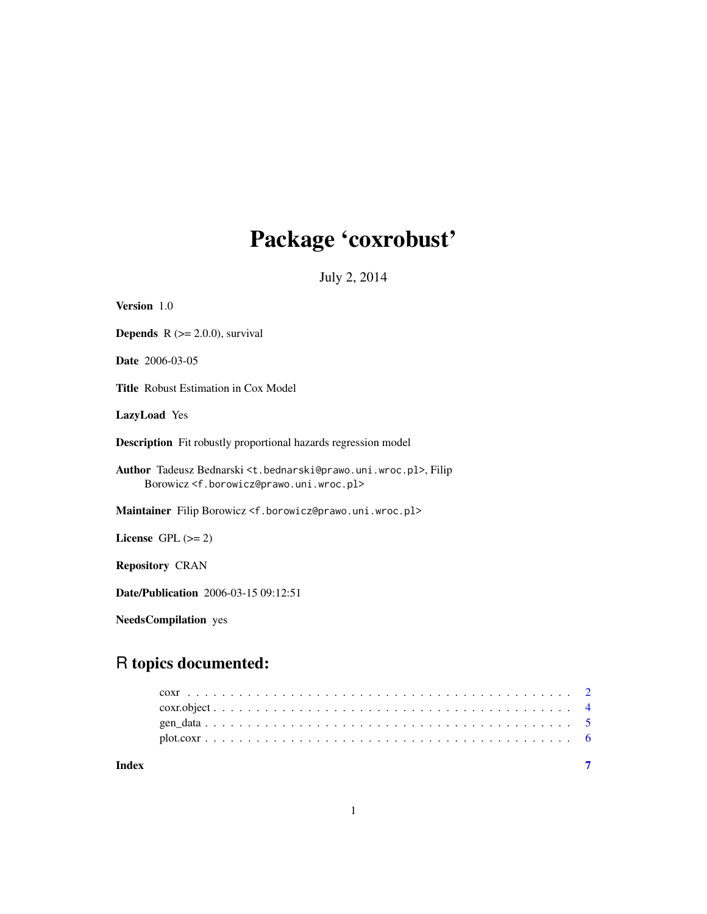# Package 'coxrobust'

July 2, 2014

<span id="page-0-0"></span>

| Version 1.0                                                                                                                                                                |
|----------------------------------------------------------------------------------------------------------------------------------------------------------------------------|
| <b>Depends</b> $R$ ( $>= 2.0.0$ ), survival                                                                                                                                |
| <b>Date</b> 2006-03-05                                                                                                                                                     |
| <b>Title</b> Robust Estimation in Cox Model                                                                                                                                |
| <b>LazyLoad</b> Yes                                                                                                                                                        |
| <b>Description</b> Fit robustly proportional hazards regression model                                                                                                      |
| Author Tadeusz Bednarski <t.bednarski@prawo.uni.wroc.pl>, Filip<br/>Borowicz <f.borowicz@prawo.uni.wroc.pl></f.borowicz@prawo.uni.wroc.pl></t.bednarski@prawo.uni.wroc.pl> |
| Maintainer Filip Borowicz <f.borowicz@prawo.uni.wroc.pl></f.borowicz@prawo.uni.wroc.pl>                                                                                    |
| License GPL $(>= 2)$                                                                                                                                                       |
| <b>Repository CRAN</b>                                                                                                                                                     |
| <b>Date/Publication</b> 2006-03-15 09:12:51                                                                                                                                |
| <b>NeedsCompilation</b> yes                                                                                                                                                |

### R topics documented:

**Index** [7](#page-6-0) **7**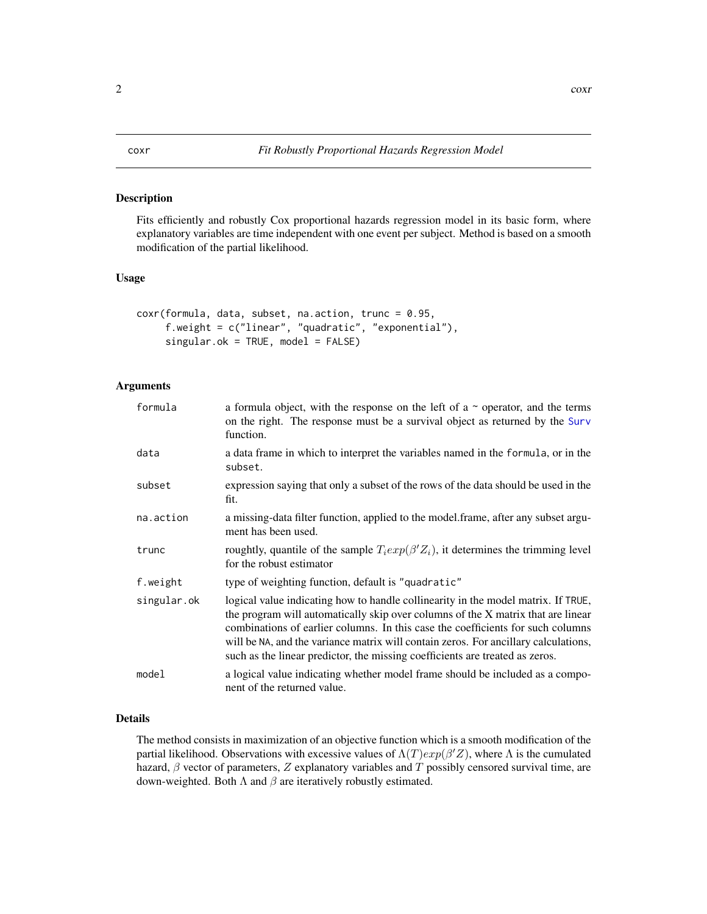Fits efficiently and robustly Cox proportional hazards regression model in its basic form, where explanatory variables are time independent with one event per subject. Method is based on a smooth modification of the partial likelihood.

#### Usage

```
coxr(formula, data, subset, na.action, trunc = 0.95,
     f.weight = c("linear", "quadratic", "exponential"),
     singular.ok = TRUE, model = FALSE)
```
#### Arguments

| formula     | a formula object, with the response on the left of a $\sim$ operator, and the terms<br>on the right. The response must be a survival object as returned by the Surv<br>function.                                                                                                                                                                                                                                                |
|-------------|---------------------------------------------------------------------------------------------------------------------------------------------------------------------------------------------------------------------------------------------------------------------------------------------------------------------------------------------------------------------------------------------------------------------------------|
| data        | a data frame in which to interpret the variables named in the formula, or in the<br>subset.                                                                                                                                                                                                                                                                                                                                     |
| subset      | expression saying that only a subset of the rows of the data should be used in the<br>fit.                                                                                                                                                                                                                                                                                                                                      |
| na.action   | a missing-data filter function, applied to the model.frame, after any subset argu-<br>ment has been used.                                                                                                                                                                                                                                                                                                                       |
| trunc       | roughtly, quantile of the sample $T_i exp(\beta' Z_i)$ , it determines the trimming level<br>for the robust estimator                                                                                                                                                                                                                                                                                                           |
| f.weight    | type of weighting function, default is "quadratic"                                                                                                                                                                                                                                                                                                                                                                              |
| singular.ok | logical value indicating how to handle collinearity in the model matrix. If TRUE,<br>the program will automatically skip over columns of the X matrix that are linear<br>combinations of earlier columns. In this case the coefficients for such columns<br>will be NA, and the variance matrix will contain zeros. For ancillary calculations,<br>such as the linear predictor, the missing coefficients are treated as zeros. |
| model       | a logical value indicating whether model frame should be included as a compo-<br>nent of the returned value.                                                                                                                                                                                                                                                                                                                    |

#### Details

The method consists in maximization of an objective function which is a smooth modification of the partial likelihood. Observations with excessive values of  $\Lambda(T)exp(\beta'Z)$ , where  $\Lambda$  is the cumulated hazard,  $\beta$  vector of parameters, Z explanatory variables and T possibly censored survival time, are down-weighted. Both  $\Lambda$  and  $\beta$  are iteratively robustly estimated.

#### <span id="page-1-1"></span><span id="page-1-0"></span>2 coxr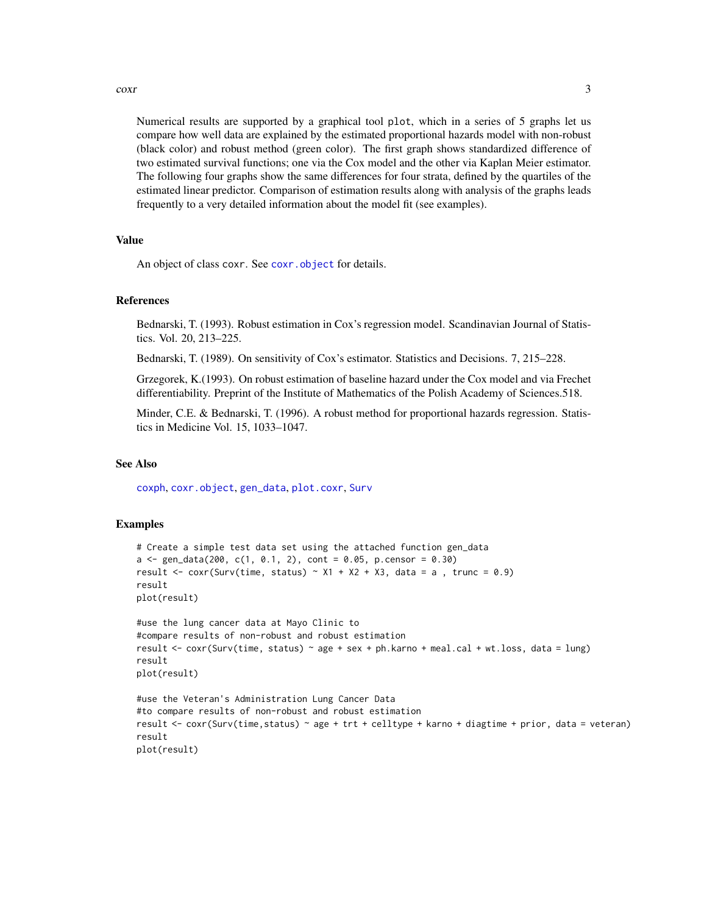#### <span id="page-2-0"></span> $\frac{1}{3}$

Numerical results are supported by a graphical tool plot, which in a series of 5 graphs let us compare how well data are explained by the estimated proportional hazards model with non-robust (black color) and robust method (green color). The first graph shows standardized difference of two estimated survival functions; one via the Cox model and the other via Kaplan Meier estimator. The following four graphs show the same differences for four strata, defined by the quartiles of the estimated linear predictor. Comparison of estimation results along with analysis of the graphs leads frequently to a very detailed information about the model fit (see examples).

#### Value

An object of class coxr. See coxr. object for details.

#### References

Bednarski, T. (1993). Robust estimation in Cox's regression model. Scandinavian Journal of Statistics. Vol. 20, 213–225.

Bednarski, T. (1989). On sensitivity of Cox's estimator. Statistics and Decisions. 7, 215–228.

Grzegorek, K.(1993). On robust estimation of baseline hazard under the Cox model and via Frechet differentiability. Preprint of the Institute of Mathematics of the Polish Academy of Sciences.518.

Minder, C.E. & Bednarski, T. (1996). A robust method for proportional hazards regression. Statistics in Medicine Vol. 15, 1033–1047.

#### See Also

[coxph](#page-0-0), [coxr.object](#page-3-1), [gen\\_data](#page-4-1), [plot.coxr](#page-5-1), [Surv](#page-0-0)

#### Examples

```
# Create a simple test data set using the attached function gen_data
a \leq gen\_data(200, c(1, 0.1, 2), cont = 0.05, p.censor = 0.30)result <- coxr(Surv(time, status) ~ X1 + X2 + X3, data = a, trunc = 0.9)
result
plot(result)
```

```
#use the lung cancer data at Mayo Clinic to
#compare results of non-robust and robust estimation
result <- coxr(Surv(time, status) ~ age + sex + ph.karno + meal.cal + wt.loss, data = lung)
result
plot(result)
```

```
#use the Veteran's Administration Lung Cancer Data
#to compare results of non-robust and robust estimation
result <- coxr(Surv(time,status) ~ age + trt + celltype + karno + diagtime + prior, data = veteran)
result
plot(result)
```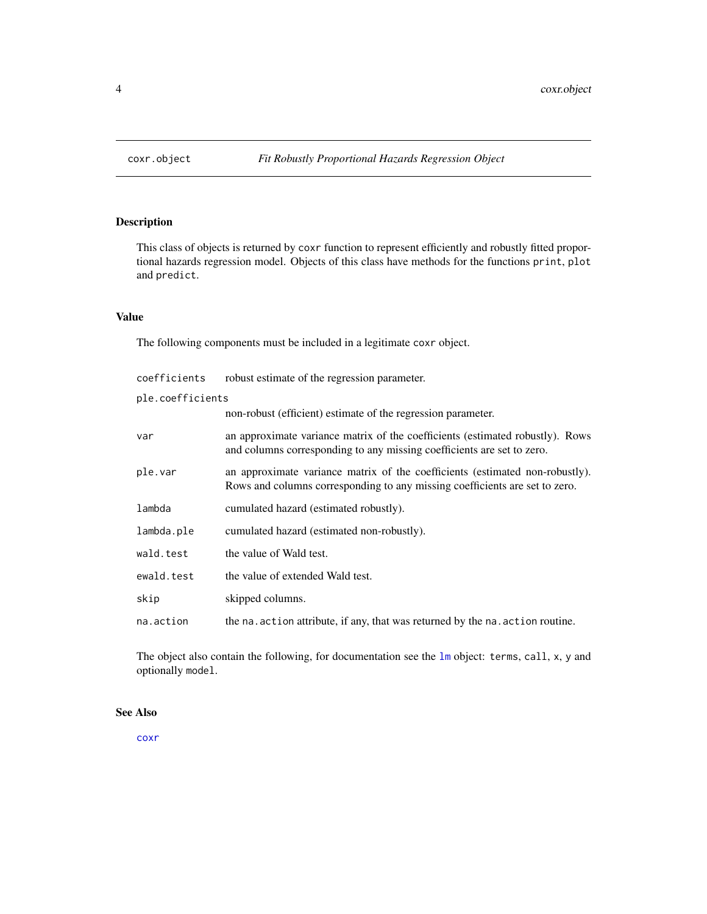<span id="page-3-1"></span><span id="page-3-0"></span>

This class of objects is returned by coxr function to represent efficiently and robustly fitted proportional hazards regression model. Objects of this class have methods for the functions print, plot and predict.

#### Value

The following components must be included in a legitimate coxr object.

| coefficients     | robust estimate of the regression parameter.                                                                                                                |  |  |  |  |  |
|------------------|-------------------------------------------------------------------------------------------------------------------------------------------------------------|--|--|--|--|--|
| ple.coefficients |                                                                                                                                                             |  |  |  |  |  |
|                  | non-robust (efficient) estimate of the regression parameter.                                                                                                |  |  |  |  |  |
| var              | an approximate variance matrix of the coefficients (estimated robustly). Rows<br>and columns corresponding to any missing coefficients are set to zero.     |  |  |  |  |  |
| ple.var          | an approximate variance matrix of the coefficients (estimated non-robustly).<br>Rows and columns corresponding to any missing coefficients are set to zero. |  |  |  |  |  |
| lambda           | cumulated hazard (estimated robustly).                                                                                                                      |  |  |  |  |  |
| lambda.ple       | cumulated hazard (estimated non-robustly).                                                                                                                  |  |  |  |  |  |
| wald.test        | the value of Wald test.                                                                                                                                     |  |  |  |  |  |
| ewald.test       | the value of extended Wald test.                                                                                                                            |  |  |  |  |  |
| skip             | skipped columns.                                                                                                                                            |  |  |  |  |  |
| na.action        | the na. action attribute, if any, that was returned by the na. action routine.                                                                              |  |  |  |  |  |

The object also contain the following, for documentation see the [lm](#page-0-0) object: terms, call, x, y and optionally model.

#### See Also

[coxr](#page-1-1)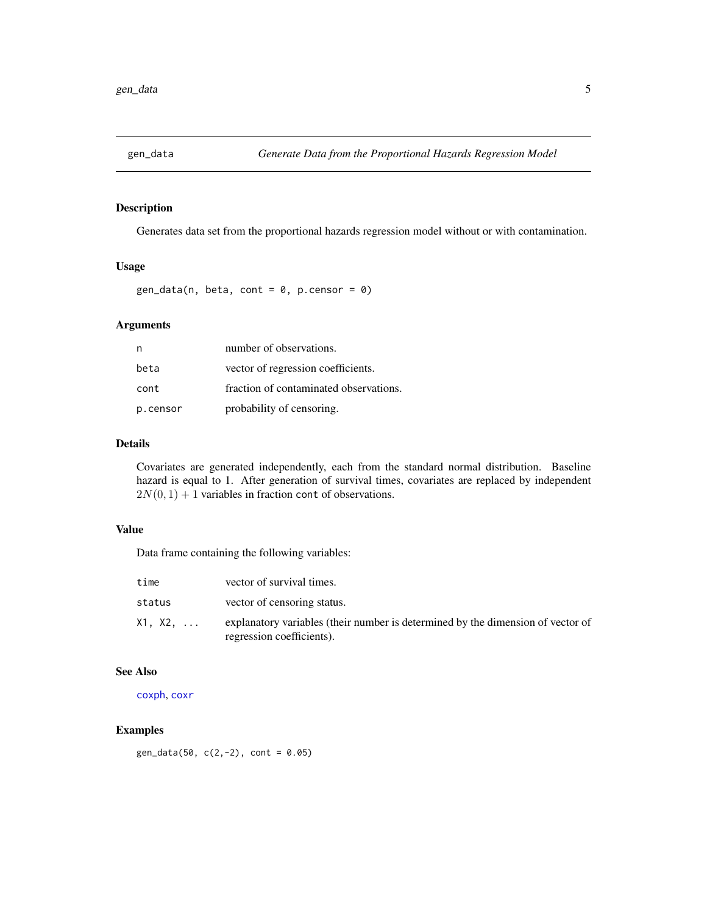<span id="page-4-1"></span><span id="page-4-0"></span>

Generates data set from the proportional hazards regression model without or with contamination.

#### Usage

 $gen_data(n, beta, cont = 0, p.censor = 0)$ 

#### Arguments

|          | number of observations.                |
|----------|----------------------------------------|
| beta     | vector of regression coefficients.     |
| cont     | fraction of contaminated observations. |
| p.censor | probability of censoring.              |

#### Details

Covariates are generated independently, each from the standard normal distribution. Baseline hazard is equal to 1. After generation of survival times, covariates are replaced by independent  $2N(0, 1) + 1$  variables in fraction cont of observations.

#### Value

Data frame containing the following variables:

| time    | vector of survival times.                                                                                    |
|---------|--------------------------------------------------------------------------------------------------------------|
| status  | vector of censoring status.                                                                                  |
| X1, X2, | explanatory variables (their number is determined by the dimension of vector of<br>regression coefficients). |

#### See Also

[coxph](#page-0-0), [coxr](#page-1-1)

#### Examples

gen\_data(50,  $c(2, -2)$ , cont = 0.05)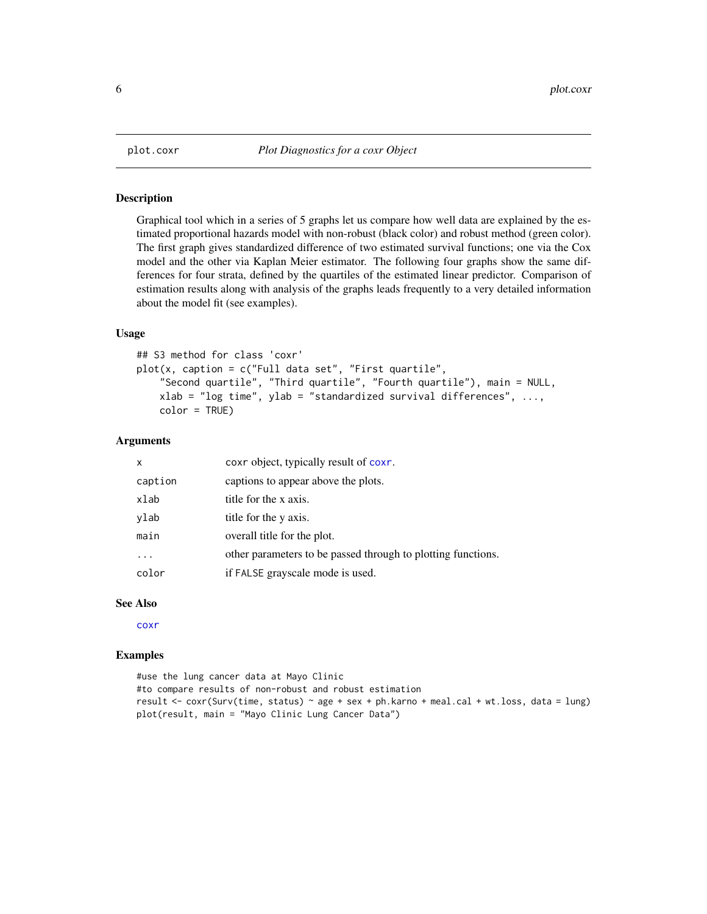<span id="page-5-1"></span><span id="page-5-0"></span>

Graphical tool which in a series of 5 graphs let us compare how well data are explained by the estimated proportional hazards model with non-robust (black color) and robust method (green color). The first graph gives standardized difference of two estimated survival functions; one via the Cox model and the other via Kaplan Meier estimator. The following four graphs show the same differences for four strata, defined by the quartiles of the estimated linear predictor. Comparison of estimation results along with analysis of the graphs leads frequently to a very detailed information about the model fit (see examples).

#### Usage

```
## S3 method for class 'coxr'
plot(x, caption = c("Full data set", "First quartile","Second quartile", "Third quartile", "Fourth quartile"), main = NULL,
   xlab = "log time", ylab = "standardized survival differences", ...,
   color = TRUE)
```
#### Arguments

| $\mathsf{x}$ | coxr object, typically result of coxr.                       |
|--------------|--------------------------------------------------------------|
| caption      | captions to appear above the plots.                          |
| xlab         | title for the x axis.                                        |
| ylab         | title for the y axis.                                        |
| main         | overall title for the plot.                                  |
|              | other parameters to be passed through to plotting functions. |
| color        | if FALSE grayscale mode is used.                             |

#### See Also

[coxr](#page-1-1)

#### Examples

```
#use the lung cancer data at Mayo Clinic
#to compare results of non-robust and robust estimation
result <- coxr(Surv(time, status) ~ age + sex + ph.karno + meal.cal + wt.loss, data = lung)
plot(result, main = "Mayo Clinic Lung Cancer Data")
```